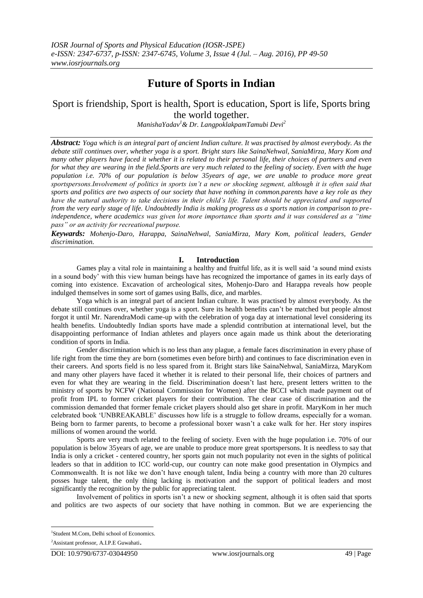## **Future of Sports in Indian**

## Sport is friendship, Sport is health, Sport is education, Sport is life, Sports bring the world together.

*ManishaYadav<sup>1</sup>& Dr. LangpoklakpamTamubi Devi<sup>2</sup>*

*Abstract: Yoga which is an integral part of ancient Indian culture. It was practised by almost everybody. As the debate still continues over, whether yoga is a sport. Bright stars like SainaNehwal, SaniaMirza, Mary Kom and many other players have faced it whether it is related to their personal life, their choices of partners and even for what they are wearing in the field.Sports are very much related to the feeling of society. Even with the huge population i.e. 70% of our population is below 35years of age, we are unable to produce more great sportspersons.Involvement of politics in sports isn't a new or shocking segment, although it is often said that sports and politics are two aspects of our society that have nothing in common.parents have a key role as they have the natural authority to take decisions in their child's life. Talent should be appreciated and supported from the very early stage of life. Undoubtedly India is making progress as a sports nation in comparison to preindependence, where academics was given lot more importance than sports and it was considered as a "time pass" or an activity for recreational purpose.*

*Keywards: Mohenjo-Daro, Harappa, SainaNehwal, SaniaMirza, Mary Kom, political leaders, Gender discrimination.*

## **I. Introduction**

Games play a vital role in maintaining a healthy and fruitful life, as it is well said "a sound mind exists in a sound body" with this view human beings have has recognized the importance of games in its early days of coming into existence. Excavation of archeological sites, Mohenjo-Daro and Harappa reveals how people indulged themselves in some sort of games using Balls, dice, and marbles.

Yoga which is an integral part of ancient Indian culture. It was practised by almost everybody. As the debate still continues over, whether yoga is a sport. Sure its health benefits can"t be matched but people almost forgot it until Mr. NarendraModi came-up with the celebration of yoga day at international level considering its health benefits. Undoubtedly Indian sports have made a splendid contribution at international level, but the disappointing performance of Indian athletes and players once again made us think about the deteriorating condition of sports in India.

Gender discrimination which is no less than any plague, a female faces discrimination in every phase of life right from the time they are born (sometimes even before birth) and continues to face discrimination even in their careers. And sports field is no less spared from it. Bright stars like SainaNehwal, SaniaMirza, MaryKom and many other players have faced it whether it is related to their personal life, their choices of partners and even for what they are wearing in the field. Discrimination doesn"t last here, present letters written to the ministry of sports by NCFW (National Commission for Women) after the BCCI which made payment out of profit from IPL to former cricket players for their contribution. The clear case of discrimination and the commission demanded that former female cricket players should also get share in profit. MaryKom in her much celebrated book "UNBREAKABLE" discusses how life is a struggle to follow dreams, especially for a woman. Being born to farmer parents, to become a professional boxer wasn't a cake walk for her. Her story inspires millions of women around the world.

Sports are very much related to the feeling of society. Even with the huge population i.e. 70% of our population is below 35years of age, we are unable to produce more great sportspersons. It is needless to say that India is only a cricket - centered country, her sports gain not much popularity not even in the sights of political leaders so that in addition to ICC world-cup, our country can note make good presentation in Olympics and Commonwealth. It is not like we don"t have enough talent, India being a country with more than 20 cultures posses huge talent, the only thing lacking is motivation and the support of political leaders and most significantly the recognition by the public for appreciating talent.

Involvement of politics in sports isn"t a new or shocking segment, although it is often said that sports and politics are two aspects of our society that have nothing in common. But we are experiencing the

1

<sup>1</sup> Student M.Com, Delhi school of Economics.

<sup>2</sup>Assistant professor, A.I.P.E Guwahati.